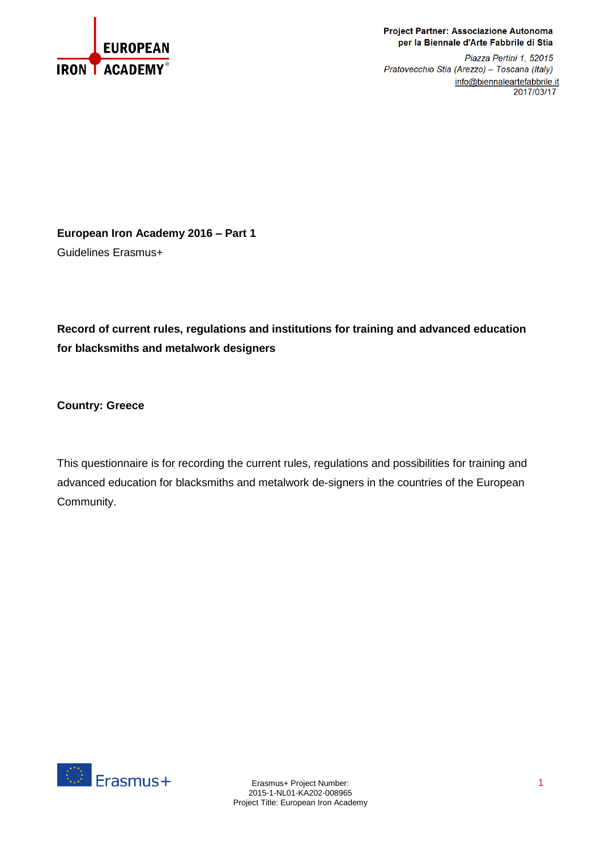

## Project Partner: Associazione Autonoma per la Biennale d'Arte Fabbrile di Stia

Piazza Pertini 1, 52015 Pratovecchio Stia (Arezzo) - Toscana (Italy) info@biennaleartefabbrile.it 2017/03/17

**European Iron Academy 2016 – Part 1** Guidelines Erasmus+

**Record of current rules, regulations and institutions for training and advanced education for blacksmiths and metalwork designers**

**Country: Greece**

This questionnaire is for recording the current rules, regulations and possibilities for training and advanced education for blacksmiths and metalwork de-signers in the countries of the European Community.

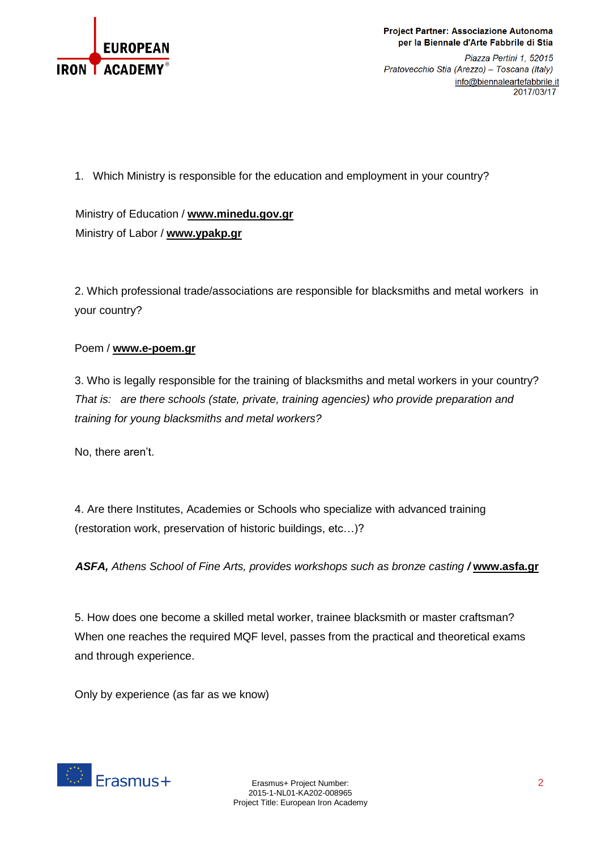

Project Partner: Associazione Autonoma per la Biennale d'Arte Fabbrile di Stia

Piazza Pertini 1, 52015 Pratovecchio Stia (Arezzo) - Toscana (Italy) info@biennaleartefabbrile.it 2017/03/17

1. Which Ministry is responsible for the education and employment in your country?

Ministry of Education / **[www.minedu.gov.gr](http://www.minedu.gov.gr/)** Ministry of Labor / **[www.ypakp.gr](http://www.ypakp.gr/)**

2. Which professional trade/associations are responsible for blacksmiths and metal workers in your country?

## Poem / **[www.e-poem.gr](http://www.e-poem.gr/)**

3. Who is legally responsible for the training of blacksmiths and metal workers in your country? *That is: are there schools (state, private, training agencies) who provide preparation and training for young blacksmiths and metal workers?*

No, there aren't.

4. Are there Institutes, Academies or Schools who specialize with advanced training (restoration work, preservation of historic buildings, etc…)?

*ASFA, Athens School of Fine Arts, provides workshops such as bronze casting /* **[www.asfa.gr](http://www.asfa.gr/)**

5. How does one become a skilled metal worker, trainee blacksmith or master craftsman? When one reaches the required MQF level, passes from the practical and theoretical exams and through experience.

Only by experience (as far as we know)